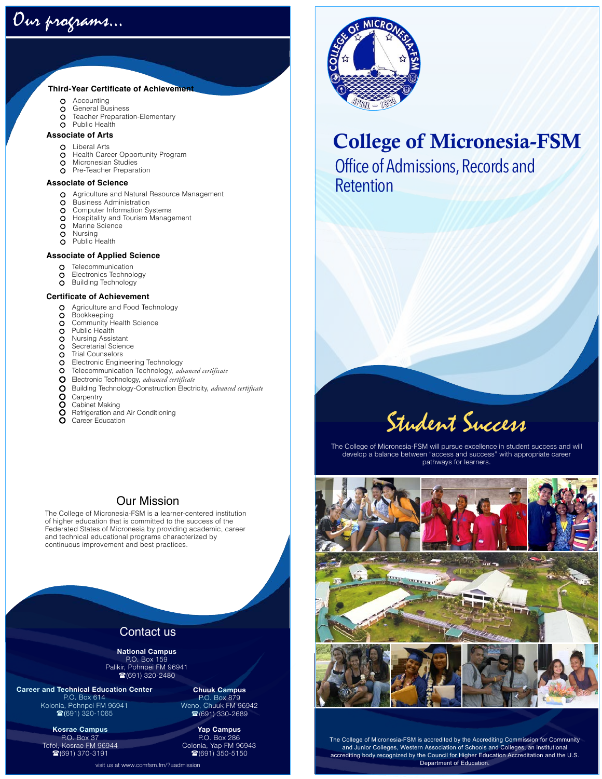

#### **Third-Year Certificate of Achievement**

- $\circ$ Accounting
- $\circ$ General Business
- Teacher Preparation-Elementary  $\circ$
- Public Health  $\Omega$

#### **Associate of Arts**

- **O** Liberal Arts
- $\circ$ Health Career Opportunity Program
- $\circ$ Micronesian Studies
- $\Omega$ Pre-Teacher Preparation

#### **Associate of Science**

- O Agriculture and Natural Resource Management
- $\circ$ Business Administration
- $\circ$ Computer Information Systems
- Hospitality and Tourism Management  $\circ$ Marine Science
- $\circ$
- $\circ$ Nursing  $\overline{O}$ Public Health

#### **Associate of Applied Science**

- $\circ$ Telecommunication
- Electronics Technology
- $\circ$ Building Technology

#### **Certificate of Achievement**

- Agriculture and Food Technology  $\circ$
- **Bookkeeping**  $\circ$
- Community Health Science  $\circ$
- Public Health  $\circ$
- Nursing Assistant  $\circ$
- Secretarial Science  $\circ$
- $\circ$ Trial Counselors
- Electronic Engineering Technology  $\circ$
- $\circ$ Telecommunication Technology, *advanced certificate*   $\circ$
- Electronic Technology, *advanced certificate*
- 0000 Building Technology-Construction Electricity, *advanced certificate*
- **Carpentry**
- Cabinet Making
- Refrigeration and Air Conditioning
- Ō Career Education

#### Our Mission

The College of Micronesia-FSM is a learner-centered institution of higher education that is committed to the success of the Federated States of Micronesia by providing academic, career and technical educational programs characterized by continuous improvement and best practices.

## Contact us

**National Campus**  P.O. Box 159 Palikir, Pohnpei FM 96941 1691) 320-2480

**Career and Technical Education Center**  P.O. Box 614 Kolonia, Pohnpei FM 96941  $(691)$  320-1065

> **Kosrae Campus**  P.O. Box 37 Tofol, Kosrae FM 96944 ((691) 370-3191

**Chuuk Campus**  P.O. Box 879 Weno, Chuuk FM 96942 ☎(691) 330-2689

**Yap Campus**  P.O. Box 286 Colonia, Yap FM 96943 <sup>3</sup>(691) 350-5150



## College of Micronesia-FSM

Office of Admissions, Records and Retention

# Student Success

The College of Micronesia-FSM will pursue excellence in student success and will develop a balance between "access and success" with appropriate career pathways for learners.



The College of Micronesia-FSM is accredited by the Accrediting Commission for Community and Junior Colleges, Western Association of Schools and Colleges, an institutional accrediting body recognized by the Council for Higher Education Accreditation and the U.S. Department of Education.

visit us at [www.comfsm.fm](http://www.comfsm.fm)/?=admission